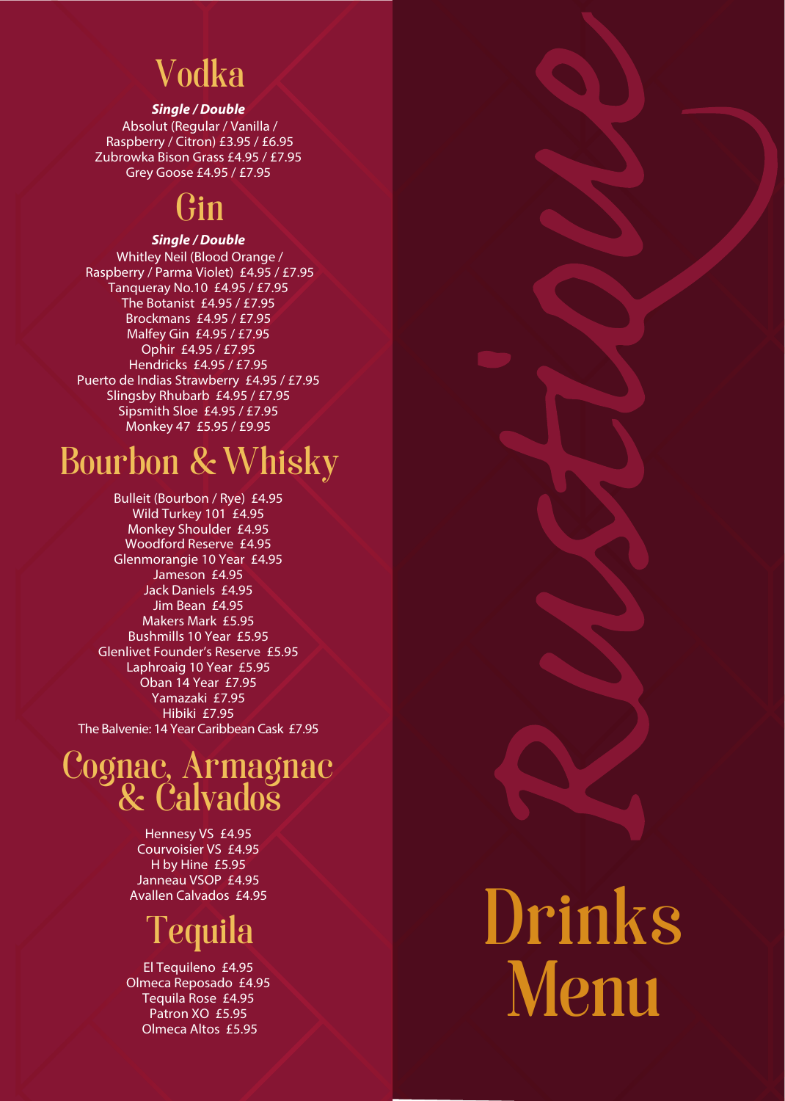# Vodka

#### *Single / Double*

Absolut (Regular / Vanilla / Raspberry / Citron) £3.95 / £6.95 Zubrowka Bison Grass £4.95 / £7.95 Grey Goose £4.95 / £7.95

### Gin

#### *Single / Double*

Whitley Neil (Blood Orange / Raspberry / Parma Violet) £4.95 / £7.95 Tanqueray No.10 £4.95 / £7.95 The Botanist £4.95 / £7.95 Brockmans £4.95 / £7.95 Malfey Gin £4.95 / £7.95 Ophir £4.95 / £7.95 Hendricks £4.95 / £7.95 Puerto de Indias Strawberry £4.95 / £7.95 Slingsby Rhubarb £4.95 / £7.95 Sipsmith Sloe £4.95 / £7.95 Monkey 47 £5.95 / £9.95

# **Bourbon & Whisky**

Bulleit (Bourbon / Rye) £4.95 Wild Turkey 101 £4.95 Monkey Shoulder £4.95 Woodford Reserve £4.95 Glenmorangie 10 Year £4.95 Jameson £4.95 Jack Daniels £4.95 Jim Bean £4.95 Makers Mark £5.95 Bushmills 10 Year £5.95 Glenlivet Founder's Reserve £5.95 Laphroaig 10 Year £5.95 Oban 14 Year £7.95 Yamazaki £7.95 Hibiki £7.95 The Balvenie: 14 Year Caribbean Cask £7.95

### Cognac, Armagnac & Calvados

Hennesy VS £4.95 Courvoisier VS £4.95 H by Hine £5.95 Janneau VSOP £4.95 Avallen Calvados £4.95

# Tequila

El Tequileno £4.95 Olmeca Reposado £4.95 Tequila Rose £4.95 Patron XO £5.95 Olmeca Altos £5.95

# Drinks Menu